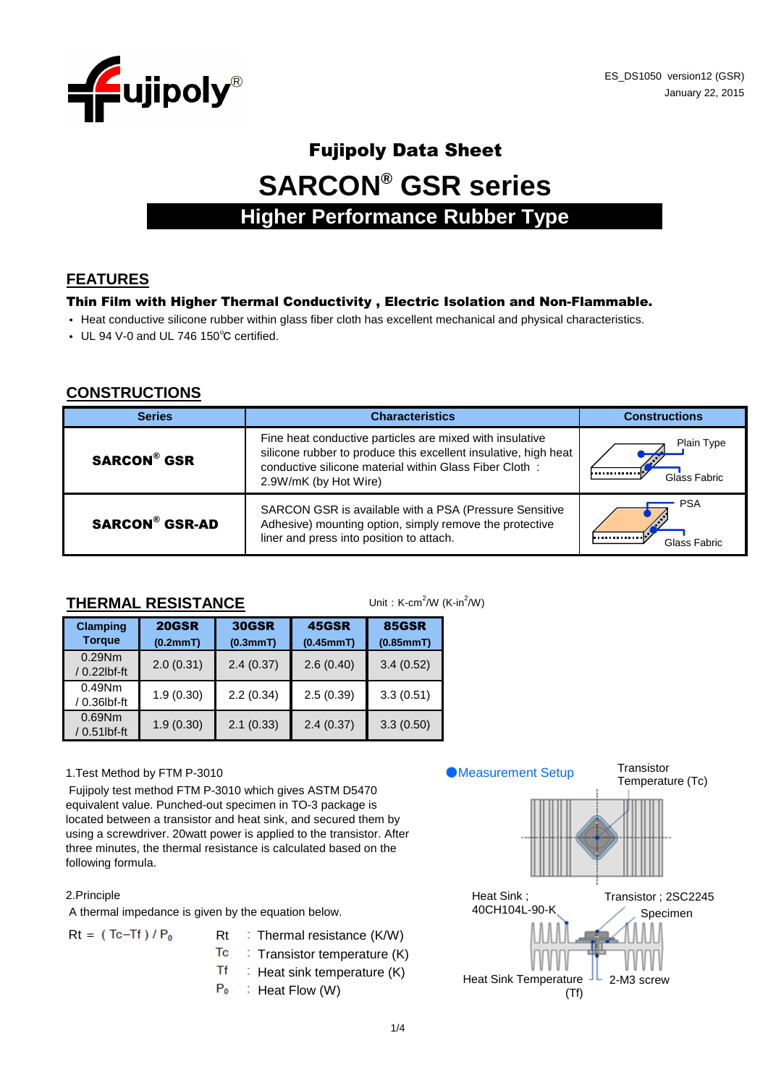

# Fujipoly Data Sheet **SARCON® GSR series Higher Performance Rubber Type**

## **FEATURES**

#### Thin Film with Higher Thermal Conductivity , Electric Isolation and Non-Flammable.

- Heat conductive silicone rubber within glass fiber cloth has excellent mechanical and physical characteristics.
- UL 94 V-0 and UL 746 150℃ certified.

#### **CONSTRUCTIONS**

| <b>Series</b>         | <b>Characteristics</b>                                                                                                                                                                                         | <b>Constructions</b>           |  |  |  |
|-----------------------|----------------------------------------------------------------------------------------------------------------------------------------------------------------------------------------------------------------|--------------------------------|--|--|--|
| <b>SARCON® GSR</b>    | Fine heat conductive particles are mixed with insulative<br>silicone rubber to produce this excellent insulative, high heat<br>conductive silicone material within Glass Fiber Cloth:<br>2.9W/mK (by Hot Wire) | Plain Type<br><br>Glass Fabric |  |  |  |
| <b>SARCON® GSR-AD</b> | SARCON GSR is available with a PSA (Pressure Sensitive<br>Adhesive) mounting option, simply remove the protective<br>liner and press into position to attach.                                                  | <b>PSA</b><br><br>Glass Fabric |  |  |  |

#### **THERMAL RESISTANCE**

Unit:  $K$ -cm<sup>2</sup>/W ( $K$ -in<sup>2</sup>/W)

| <b>Clamping</b><br><b>Torque</b> | <b>20GSR</b><br>(0.2mmT) | <b>30GSR</b><br>(0.3mmT) | <b>45GSR</b><br>(0.45mmT) | <b>85GSR</b><br>(0.85mmT) |  |  |
|----------------------------------|--------------------------|--------------------------|---------------------------|---------------------------|--|--|
| $0.29$ Nm<br>/ 0.22lbf-ft        | 2.0(0.31)                | 2.4(0.37)                | 2.6(0.40)                 | 3.4(0.52)                 |  |  |
| $0.49$ Nm<br>/ 0.36lbf-ft        | 1.9(0.30)                | 2.2(0.34)                | 2.5(0.39)                 | 3.3(0.51)                 |  |  |
| $0.69$ Nm<br>/ 0.51lbf-ft        | 1.9(0.30)                | 2.1(0.33)                | 2.4(0.37)                 | 3.3(0.50)                 |  |  |

#### 1.Test Method by FTM P-3010

 Fujipoly test method FTM P-3010 which gives ASTM D5470 equivalent value. Punched-out specimen in TO-3 package is located between a transistor and heat sink, and secured them by using a screwdriver. 20watt power is applied to the transistor. After three minutes, the thermal resistance is calculated based on the following formula.

#### 2.Principle

A thermal impedance is given by the equation below.

- $Rt = (Tc-Tf)/P_0$  Rt : Thermal resistance (K/W)
	- Tc  $\therefore$  Transistor temperature  $(K)$
	- **Tf**  $\therefore$  Heat sink temperature (K)
	- $P_0$  $\therefore$  Heat Flow (W)

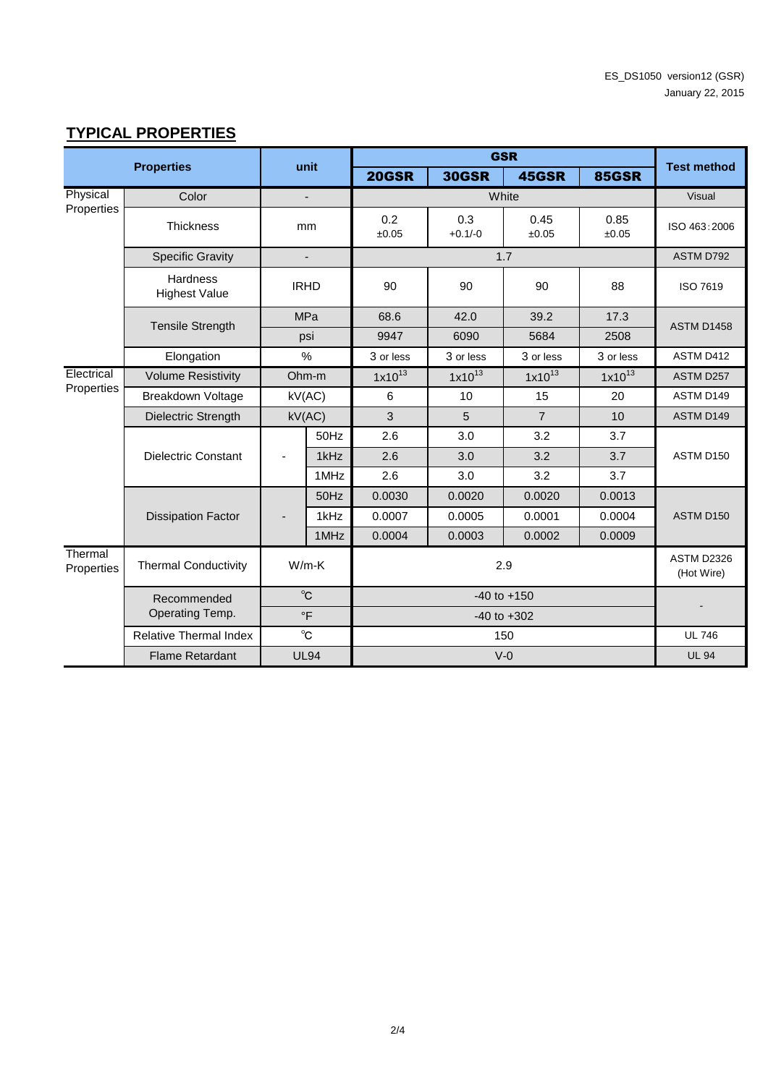# **TYPICAL PROPERTIES**

| <b>Properties</b>     |                                  | unit                     |                |                 | <b>Test method</b> |                |                                 |                   |           |
|-----------------------|----------------------------------|--------------------------|----------------|-----------------|--------------------|----------------|---------------------------------|-------------------|-----------|
|                       |                                  |                          |                | <b>20GSR</b>    | <b>30GSR</b>       | 45GSR          | <b>85GSR</b>                    |                   |           |
| Physical              | Color                            | $\overline{\phantom{a}}$ |                |                 | Visual             |                |                                 |                   |           |
| Properties            | <b>Thickness</b>                 |                          | mm             | 0.2<br>±0.05    | 0.3<br>$+0.1/-0$   | 0.45<br>±0.05  | 0.85<br>±0.05                   | ISO 463:2006      |           |
|                       | <b>Specific Gravity</b>          |                          |                |                 |                    | 1.7            |                                 | ASTM D792         |           |
|                       | Hardness<br><b>Highest Value</b> | <b>IRHD</b>              |                | 90              | 90                 | 90             | 88                              | ISO 7619          |           |
|                       |                                  |                          | <b>MPa</b>     | 68.6            | 42.0               | 39.2           | 17.3                            | <b>ASTM D1458</b> |           |
|                       | <b>Tensile Strength</b>          |                          | psi            | 9947            | 6090               | 5684           | 2508                            |                   |           |
|                       | Elongation                       | $\%$                     |                | 3 or less       | 3 or less          | 3 or less      | 3 or less                       | ASTM D412         |           |
| Electrical            | <b>Volume Resistivity</b>        |                          | Ohm-m          | $1x10^{13}$     | $1x10^{13}$        | $1x10^{13}$    | $1x10^{13}$                     | ASTM D257         |           |
| Properties            | <b>Breakdown Voltage</b>         |                          | kV(AC)         | 6               | 10                 | 15             | 20                              | ASTM D149         |           |
|                       | <b>Dielectric Strength</b>       |                          | kV(AC)         | 3               | 5                  | $\overline{7}$ | 10                              | ASTM D149         |           |
|                       |                                  |                          | 50Hz           | 2.6             | 3.0                | 3.2            | 3.7                             |                   |           |
|                       | <b>Dielectric Constant</b>       |                          |                | 1kHz            | 2.6                | 3.0            | 3.2                             | 3.7               | ASTM D150 |
|                       |                                  |                          | 1MHz           | 2.6             | 3.0                | 3.2            | 3.7                             |                   |           |
|                       |                                  |                          | 50Hz           | 0.0030          | 0.0020             | 0.0020         | 0.0013                          |                   |           |
|                       | <b>Dissipation Factor</b>        | $\overline{a}$           | 1kHz           | 0.0007          | 0.0005             | 0.0001         | 0.0004                          | ASTM D150         |           |
|                       |                                  |                          | 1MHz           | 0.0004          | 0.0003             | 0.0002         | 0.0009                          |                   |           |
| Thermal<br>Properties | <b>Thermal Conductivity</b>      |                          | $W/m-K$<br>2.9 |                 |                    |                | <b>ASTM D2326</b><br>(Hot Wire) |                   |           |
|                       | Recommended                      |                          | $^{\circ}$ C   | $-40$ to $+150$ |                    |                |                                 |                   |           |
|                       | Operating Temp.                  |                          | $\circ$ F      |                 |                    |                |                                 |                   |           |
|                       | <b>Relative Thermal Index</b>    |                          | $^{\circ}$ C   |                 |                    | 150            |                                 | <b>UL 746</b>     |           |
|                       | <b>Flame Retardant</b>           |                          | <b>UL94</b>    |                 | <b>UL 94</b>       |                |                                 |                   |           |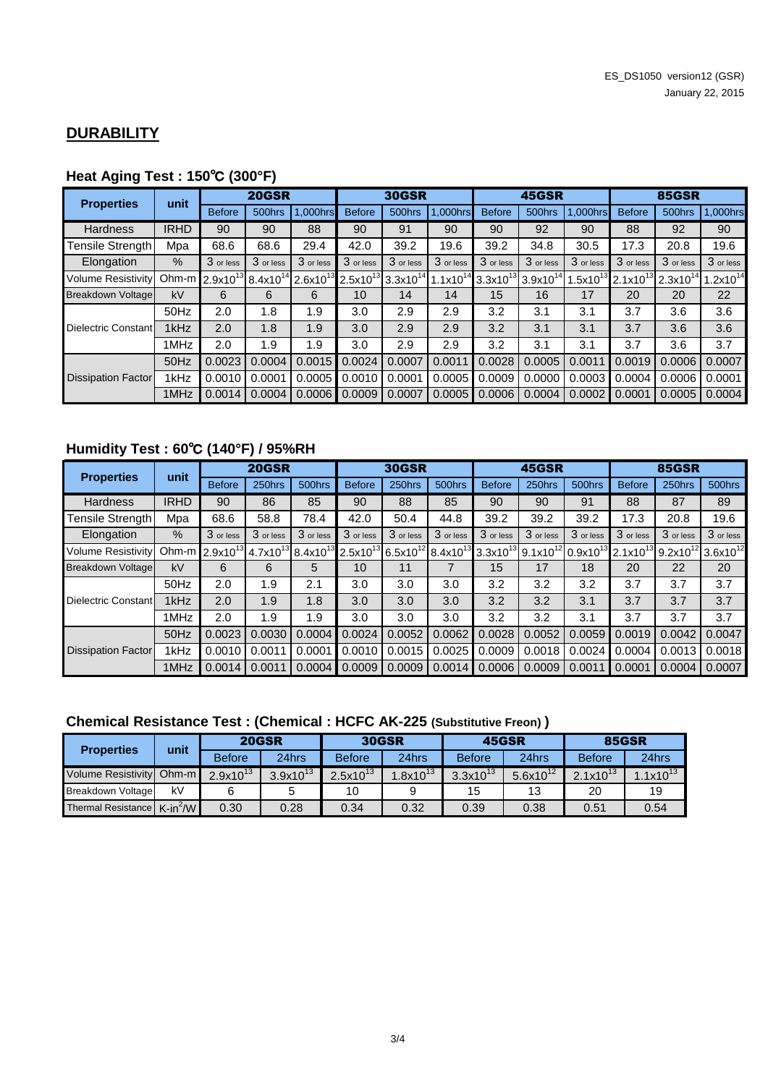#### **DURABILITY**

#### **Heat Aging Test : 150**℃ **(300°F)**

| <b>Properties</b>         | unit        | <b>20GSR</b>                                    |           |               | <b>30GSR</b>  |                                    |           | 45GSR                              |               |              | <b>85GSR</b>  |                                    |              |
|---------------------------|-------------|-------------------------------------------------|-----------|---------------|---------------|------------------------------------|-----------|------------------------------------|---------------|--------------|---------------|------------------------------------|--------------|
|                           |             | <b>Before</b>                                   | 500hrs    | 1,000hrs      | <b>Before</b> | 500hrs                             | .000hrs   | <b>Before</b>                      | 500hrs        | 1,000hrs     | <b>Before</b> | 500hrs                             | 1,000hrs     |
| <b>Hardness</b>           | <b>IRHD</b> | 90                                              | 90        | 88            | 90            | 91                                 | 90        | 90                                 | 92            | 90           | 88            | 92                                 | 90           |
| Tensile Strength          | Mpa         | 68.6                                            | 68.6      | 29.4          | 42.0          | 39.2                               | 19.6      | 39.2                               | 34.8          | 30.5         | 17.3          | 20.8                               | 19.6         |
| Elongation                | %           | 3 or less                                       | 3 or less | 3 or less     | 3 or less     | 3 or less                          | 3 or less | 3 or less                          | 3 or less     | 3 or less    | 3 or less     | 3 or less                          | 3 or less    |
| <b>Volume Resistivity</b> |             | Ohm-m 2.9x10 <sup>13</sup> 8.4x10 <sup>14</sup> |           | $2.6x10^{13}$ |               | $2.5x10^{13}$ 3.3x10 <sup>14</sup> |           | $1.1x10^{14}$ 3.3x10 <sup>13</sup> | $3.9x10^{14}$ | $.5x10^{13}$ |               | $2.1x10^{13}$ 2.3x10 <sup>14</sup> | $.2x10^{14}$ |
| Breakdown Voltage         | kV          | 6                                               | 6         | 6             | 10            | 14                                 | 14        | 15                                 | 16            | 17           | 20            | 20                                 | 22           |
|                           | 50Hz        | 2.0                                             | 1.8       | 1.9           | 3.0           | 2.9                                | 2.9       | 3.2                                | 3.1           | 3.1          | 3.7           | 3.6                                | 3.6          |
| Dielectric Constant       | 1kHz        | 2.0                                             | 1.8       | 1.9           | 3.0           | 2.9                                | 2.9       | 3.2                                | 3.1           | 3.1          | 3.7           | 3.6                                | 3.6          |
|                           | 1MHz        | 2.0                                             | 1.9       | 1.9           | 3.0           | 2.9                                | 2.9       | 3.2                                | 3.1           | 3.1          | 3.7           | 3.6                                | 3.7          |
| <b>Dissipation Factor</b> | 50Hz        | 0.0023                                          | 0.0004    | 0.0015        | 0.0024        | 0.0007                             | 0.0011    | 0.0028                             | 0.0005        | 0.0011       | 0.0019        | 0.0006                             | 0.0007       |
|                           | 1kHz        | 0.0010                                          | 0.0001    | 0.0005        | 0.0010        | 0.0001                             | 0.0005    | 0.0009                             | 0.0000        | 0.0003       | 0.0004        | 0.0006                             | 0.0001       |
|                           | 1MHz        | 0.0014                                          | 0.0004    | 0.0006        | 0.0009        | 0.0007                             | 0.0005    | 0.0006                             | 0.0004        | 0.0002       | 0.0001        | 0.0005                             | 0.0004       |

# **Humidity Test : 60**℃ **(140°F) / 95%RH**

| <b>Properties</b>         | unit        | <b>20GSR</b>               |               |                      | <b>30GSR</b>  |               |               | 45GSR         |                                    |                 | <b>85GSR</b>                       |           |               |
|---------------------------|-------------|----------------------------|---------------|----------------------|---------------|---------------|---------------|---------------|------------------------------------|-----------------|------------------------------------|-----------|---------------|
|                           |             | <b>Before</b>              | 250hrs        | 500hrs               | <b>Before</b> | 250hrs        | 500hrs        | <b>Before</b> | 250hrs                             | 500hrs          | <b>Before</b>                      | 250hrs    | 500hrs        |
| Hardness                  | <b>IRHD</b> | 90                         | 86            | 85                   | 90            | 88            | 85            | 90            | 90                                 | 91              | 88                                 | 87        | 89            |
| Tensile Strength          | Mpa         | 68.6                       | 58.8          | 78.4                 | 42.0          | 50.4          | 44.8          | 39.2          | 39.2                               | 39.2            | 17.3                               | 20.8      | 19.6          |
| Elongation                | $\%$        | 3 or less                  | 3 or less     | 3 or less            | 3 or less     | 3 or less     | 3 or less     | 3 or less     | 3 or less                          | 3 or less       | 3 or less                          | 3 or less | 3 or less     |
| <b>Volume Resistivity</b> |             | Ohm-m 2.9x10 <sup>13</sup> | $4.7x10^{13}$ | 8.4x10 <sup>13</sup> | $2.5x10^{13}$ | $6.5x10^{12}$ | $8.4x10^{13}$ |               | $3.3x10^{13}$ 9.1x10 <sup>12</sup> | $0.9x10^{13}$ . | $2.1x10^{13}$ 9.2x10 <sup>12</sup> |           | $3.6x10^{12}$ |
| <b>Breakdown Voltage</b>  | kV          | 6                          | 6             | 5                    | 10            | 11            |               | 15            | 17                                 | 18              | 20                                 | 22        | 20            |
|                           | 50Hz        | 2.0                        | 1.9           | 2.1                  | 3.0           | 3.0           | 3.0           | 3.2           | 3.2                                | 3.2             | 3.7                                | 3.7       | 3.7           |
| Dielectric Constant       | 1kHz        | 2.0                        | 1.9           | 1.8                  | 3.0           | 3.0           | 3.0           | 3.2           | 3.2                                | 3.1             | 3.7                                | 3.7       | 3.7           |
|                           | 1MHz        | 2.0                        | 1.9           | 1.9                  | 3.0           | 3.0           | 3.0           | 3.2           | 3.2                                | 3.1             | 3.7                                | 3.7       | 3.7           |
| <b>Dissipation Factor</b> | 50Hz        | 0.0023                     | 0.0030        | 0.0004               | 0.0024        | 0.0052        | 0.0062        | 0.0028        | 0.0052                             | 0.0059          | 0.0019                             | 0.0042    | 0.0047        |
|                           | 1kHz        | 0.0010                     | 0.0011        | 0.0001               | 0.0010        | 0.0015        | 0.0025        | 0.0009        | 0.0018                             | 0.0024          | 0.0004                             | 0.0013    | 0.0018        |
|                           | 1MHz        | 0.0014                     | 0.0011        | 0.0004               | 0.0009        | 0.0009        | 0.0014        | 0.0006        | 0.0009                             | 0.0011          | 0.0001                             | 0.0004    | 0.0007        |

## **Chemical Resistance Test : (Chemical : HCFC AK-225 (Substitutive Freon) )**

| <b>Properties</b>                       | unit |               | <b>20GSR</b>  |               | <b>30GSR</b> | 45GSR         |               | <b>85GSR</b>  |               |  |
|-----------------------------------------|------|---------------|---------------|---------------|--------------|---------------|---------------|---------------|---------------|--|
|                                         |      | <b>Before</b> | 24hrs         | <b>Before</b> | 24hrs        | <b>Before</b> | 24hrs         | <b>Before</b> | 24hrs         |  |
| Volume Resistivity Ohm-m                |      | $2.9x10^{13}$ | $3.9x10^{13}$ | $2.5x10^{13}$ | $.8x10^{13}$ | $3.3x10^{13}$ | $5.6x10^{12}$ | $2.1x10^{13}$ | $1.1x10^{13}$ |  |
| <b>Breakdown Voltage</b>                | kV   |               |               | 10            |              | 15            | 13            | 20            | 19            |  |
| Thermal Resistance K-in <sup>2</sup> /W |      | 0.30          | 0.28          | 0.34          | 0.32         | 0.39          | 0.38          | 0.51          | 0.54          |  |